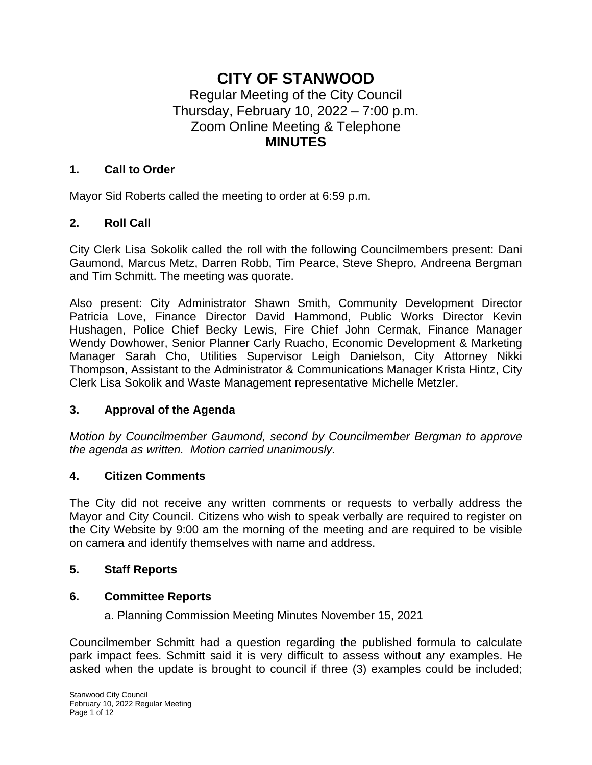# **CITY OF STANWOOD** Regular Meeting of the City Council Thursday, February 10, 2022 – 7:00 p.m. Zoom Online Meeting & Telephone **MINUTES**

#### **1. Call to Order**

Mayor Sid Roberts called the meeting to order at 6:59 p.m.

### **2. Roll Call**

City Clerk Lisa Sokolik called the roll with the following Councilmembers present: Dani Gaumond, Marcus Metz, Darren Robb, Tim Pearce, Steve Shepro, Andreena Bergman and Tim Schmitt. The meeting was quorate.

Also present: City Administrator Shawn Smith, Community Development Director Patricia Love, Finance Director David Hammond, Public Works Director Kevin Hushagen, Police Chief Becky Lewis, Fire Chief John Cermak, Finance Manager Wendy Dowhower, Senior Planner Carly Ruacho, Economic Development & Marketing Manager Sarah Cho, Utilities Supervisor Leigh Danielson, City Attorney Nikki Thompson, Assistant to the Administrator & Communications Manager Krista Hintz, City Clerk Lisa Sokolik and Waste Management representative Michelle Metzler.

#### **3. Approval of the Agenda**

*Motion by Councilmember Gaumond, second by Councilmember Bergman to approve the agenda as written. Motion carried unanimously.*

#### **4. Citizen Comments**

The City did not receive any written comments or requests to verbally address the Mayor and City Council. Citizens who wish to speak verbally are required to register on the City Website by 9:00 am the morning of the meeting and are required to be visible on camera and identify themselves with name and address.

#### **5. Staff Reports**

### **6. Committee Reports**

a. Planning Commission Meeting Minutes November 15, 2021

Councilmember Schmitt had a question regarding the published formula to calculate park impact fees. Schmitt said it is very difficult to assess without any examples. He asked when the update is brought to council if three (3) examples could be included;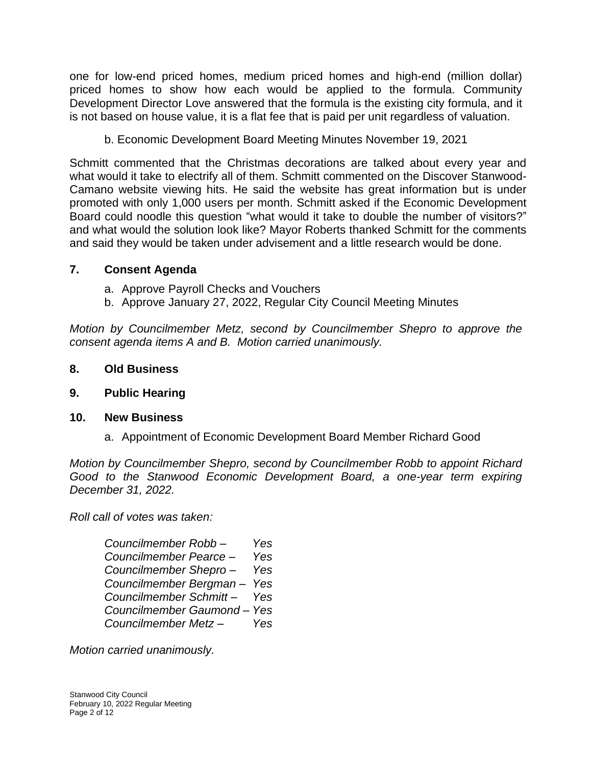one for low-end priced homes, medium priced homes and high-end (million dollar) priced homes to show how each would be applied to the formula. Community Development Director Love answered that the formula is the existing city formula, and it is not based on house value, it is a flat fee that is paid per unit regardless of valuation.

b. Economic Development Board Meeting Minutes November 19, 2021

Schmitt commented that the Christmas decorations are talked about every year and what would it take to electrify all of them. Schmitt commented on the Discover Stanwood-Camano website viewing hits. He said the website has great information but is under promoted with only 1,000 users per month. Schmitt asked if the Economic Development Board could noodle this question "what would it take to double the number of visitors?" and what would the solution look like? Mayor Roberts thanked Schmitt for the comments and said they would be taken under advisement and a little research would be done.

## **7. Consent Agenda**

- a. Approve Payroll Checks and Vouchers
- b. Approve January 27, 2022, Regular City Council Meeting Minutes

*Motion by Councilmember Metz, second by Councilmember Shepro to approve the consent agenda items A and B. Motion carried unanimously.*

### **8. Old Business**

### **9. Public Hearing**

### **10. New Business**

a. Appointment of Economic Development Board Member Richard Good

*Motion by Councilmember Shepro, second by Councilmember Robb to appoint Richard Good to the Stanwood Economic Development Board, a one-year term expiring December 31, 2022.* 

*Roll call of votes was taken:*

| Councilmember Robb-         | Yes |
|-----------------------------|-----|
| Councilmember Pearce -      | Yes |
| Councilmember Shepro-       | Yes |
| Councilmember Bergman-      | Yes |
| Councilmember Schmitt-      | Yes |
| Councilmember Gaumond - Yes |     |
| Councilmember Metz-         | Yes |

*Motion carried unanimously.*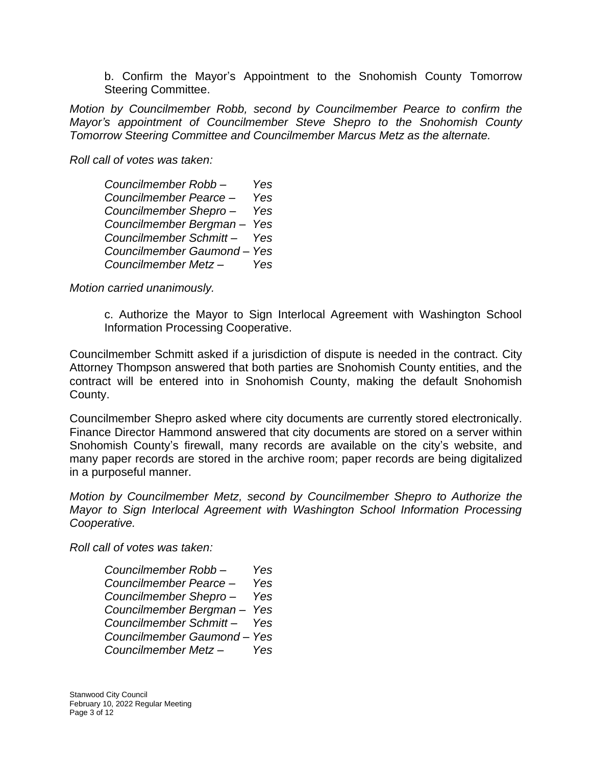b. Confirm the Mayor's Appointment to the Snohomish County Tomorrow Steering Committee.

*Motion by Councilmember Robb, second by Councilmember Pearce to confirm the Mayor's appointment of Councilmember Steve Shepro to the Snohomish County Tomorrow Steering Committee and Councilmember Marcus Metz as the alternate.* 

*Roll call of votes was taken:* 

| Councilmember Robb-         | Yes |
|-----------------------------|-----|
| Councilmember Pearce -      | Yes |
| Councilmember Shepro-       | Yes |
| Councilmember Bergman-      | Yes |
| Councilmember Schmitt-      | Yes |
| Councilmember Gaumond - Yes |     |
| Councilmember Metz-         | Yes |

*Motion carried unanimously.*

c. Authorize the Mayor to Sign Interlocal Agreement with Washington School Information Processing Cooperative.

Councilmember Schmitt asked if a jurisdiction of dispute is needed in the contract. City Attorney Thompson answered that both parties are Snohomish County entities, and the contract will be entered into in Snohomish County, making the default Snohomish County.

Councilmember Shepro asked where city documents are currently stored electronically. Finance Director Hammond answered that city documents are stored on a server within Snohomish County's firewall, many records are available on the city's website, and many paper records are stored in the archive room; paper records are being digitalized in a purposeful manner.

*Motion by Councilmember Metz, second by Councilmember Shepro to Authorize the Mayor to Sign Interlocal Agreement with Washington School Information Processing Cooperative.*

*Roll call of votes was taken:* 

| Councilmember Robb-       | Yes |
|---------------------------|-----|
| Councilmember Pearce -    | Yes |
| Councilmember Shepro-     | Yes |
| Councilmember Bergman-    | Yes |
| Councilmember Schmitt-    | Yes |
| Councilmember Gaumond-Yes |     |
| Councilmember Metz-       | Yes |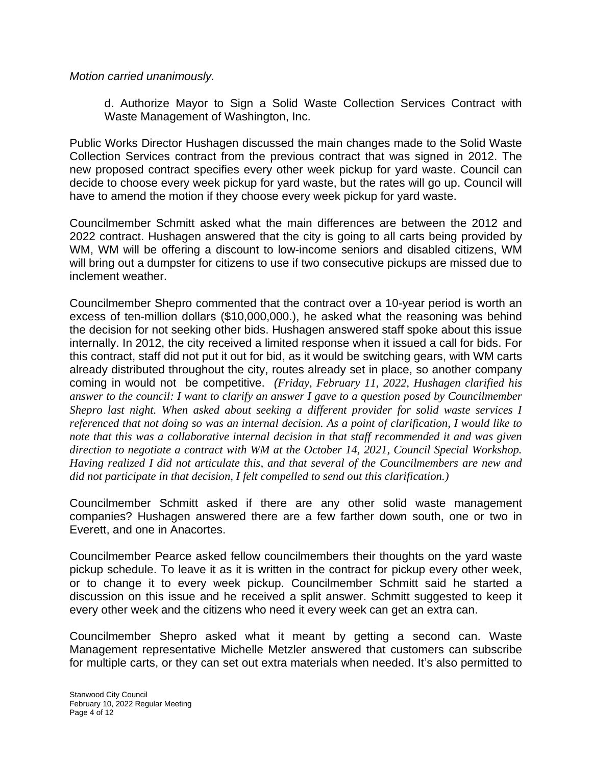*Motion carried unanimously.*

d. Authorize Mayor to Sign a Solid Waste Collection Services Contract with Waste Management of Washington, Inc.

Public Works Director Hushagen discussed the main changes made to the Solid Waste Collection Services contract from the previous contract that was signed in 2012. The new proposed contract specifies every other week pickup for yard waste. Council can decide to choose every week pickup for yard waste, but the rates will go up. Council will have to amend the motion if they choose every week pickup for yard waste.

Councilmember Schmitt asked what the main differences are between the 2012 and 2022 contract. Hushagen answered that the city is going to all carts being provided by WM, WM will be offering a discount to low-income seniors and disabled citizens, WM will bring out a dumpster for citizens to use if two consecutive pickups are missed due to inclement weather.

Councilmember Shepro commented that the contract over a 10-year period is worth an excess of ten-million dollars (\$10,000,000.), he asked what the reasoning was behind the decision for not seeking other bids. Hushagen answered staff spoke about this issue internally. In 2012, the city received a limited response when it issued a call for bids. For this contract, staff did not put it out for bid, as it would be switching gears, with WM carts already distributed throughout the city, routes already set in place, so another company coming in would not be competitive. *(Friday, February 11, 2022, Hushagen clarified his answer to the council: I want to clarify an answer I gave to a question posed by Councilmember Shepro last night. When asked about seeking a different provider for solid waste services I referenced that not doing so was an internal decision. As a point of clarification, I would like to note that this was a collaborative internal decision in that staff recommended it and was given direction to negotiate a contract with WM at the October 14, 2021, Council Special Workshop. Having realized I did not articulate this, and that several of the Councilmembers are new and did not participate in that decision, I felt compelled to send out this clarification.)*

Councilmember Schmitt asked if there are any other solid waste management companies? Hushagen answered there are a few farther down south, one or two in Everett, and one in Anacortes.

Councilmember Pearce asked fellow councilmembers their thoughts on the yard waste pickup schedule. To leave it as it is written in the contract for pickup every other week, or to change it to every week pickup. Councilmember Schmitt said he started a discussion on this issue and he received a split answer. Schmitt suggested to keep it every other week and the citizens who need it every week can get an extra can.

Councilmember Shepro asked what it meant by getting a second can. Waste Management representative Michelle Metzler answered that customers can subscribe for multiple carts, or they can set out extra materials when needed. It's also permitted to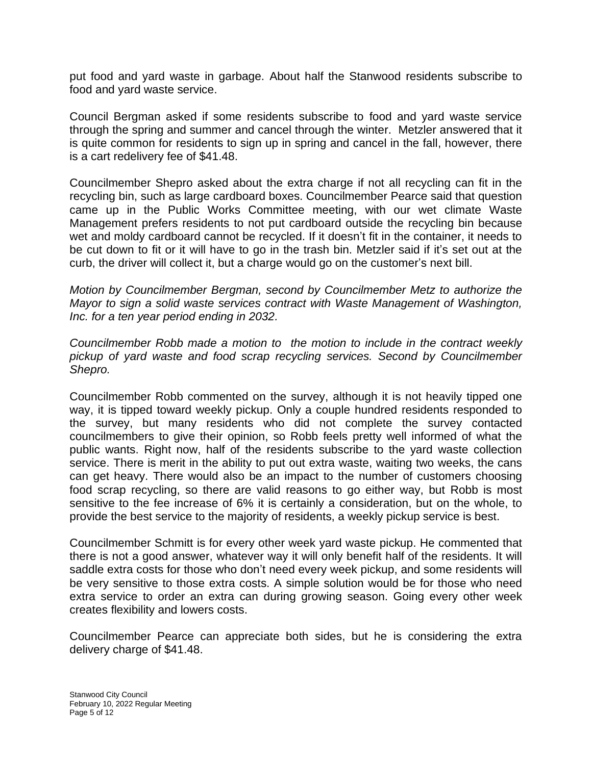put food and yard waste in garbage. About half the Stanwood residents subscribe to food and yard waste service.

Council Bergman asked if some residents subscribe to food and yard waste service through the spring and summer and cancel through the winter. Metzler answered that it is quite common for residents to sign up in spring and cancel in the fall, however, there is a cart redelivery fee of \$41.48.

Councilmember Shepro asked about the extra charge if not all recycling can fit in the recycling bin, such as large cardboard boxes. Councilmember Pearce said that question came up in the Public Works Committee meeting, with our wet climate Waste Management prefers residents to not put cardboard outside the recycling bin because wet and moldy cardboard cannot be recycled. If it doesn't fit in the container, it needs to be cut down to fit or it will have to go in the trash bin. Metzler said if it's set out at the curb, the driver will collect it, but a charge would go on the customer's next bill.

*Motion by Councilmember Bergman, second by Councilmember Metz to authorize the Mayor to sign a solid waste services contract with Waste Management of Washington, Inc. for a ten year period ending in 2032.*

*Councilmember Robb made a motion to the motion to include in the contract weekly pickup of yard waste and food scrap recycling services. Second by Councilmember Shepro.*

Councilmember Robb commented on the survey, although it is not heavily tipped one way, it is tipped toward weekly pickup. Only a couple hundred residents responded to the survey, but many residents who did not complete the survey contacted councilmembers to give their opinion, so Robb feels pretty well informed of what the public wants. Right now, half of the residents subscribe to the yard waste collection service. There is merit in the ability to put out extra waste, waiting two weeks, the cans can get heavy. There would also be an impact to the number of customers choosing food scrap recycling, so there are valid reasons to go either way, but Robb is most sensitive to the fee increase of 6% it is certainly a consideration, but on the whole, to provide the best service to the majority of residents, a weekly pickup service is best.

Councilmember Schmitt is for every other week yard waste pickup. He commented that there is not a good answer, whatever way it will only benefit half of the residents. It will saddle extra costs for those who don't need every week pickup, and some residents will be very sensitive to those extra costs. A simple solution would be for those who need extra service to order an extra can during growing season. Going every other week creates flexibility and lowers costs.

Councilmember Pearce can appreciate both sides, but he is considering the extra delivery charge of \$41.48.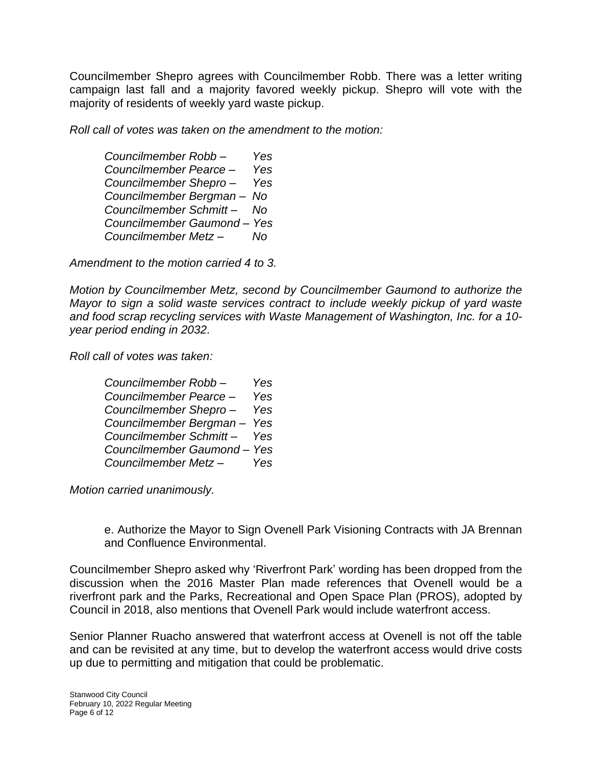Councilmember Shepro agrees with Councilmember Robb. There was a letter writing campaign last fall and a majority favored weekly pickup. Shepro will vote with the majority of residents of weekly yard waste pickup.

*Roll call of votes was taken on the amendment to the motion:*

*Councilmember Robb – Yes Councilmember Pearce – Yes Councilmember Shepro – Yes Councilmember Bergman – No Councilmember Schmitt – No Councilmember Gaumond – Yes Councilmember Metz – No*

*Amendment to the motion carried 4 to 3.*

*Motion by Councilmember Metz, second by Councilmember Gaumond to authorize the Mayor to sign a solid waste services contract to include weekly pickup of yard waste and food scrap recycling services with Waste Management of Washington, Inc. for a 10 year period ending in 2032.*

*Roll call of votes was taken:*

| Councilmember Robb-         | Yes |
|-----------------------------|-----|
| Councilmember Pearce -      | Yes |
| Councilmember Shepro-       | Yes |
| Councilmember Bergman-      | Yes |
| Councilmember Schmitt-      | Yes |
| Councilmember Gaumond - Yes |     |
| Councilmember Metz-         | Yes |

*Motion carried unanimously.*

e. Authorize the Mayor to Sign Ovenell Park Visioning Contracts with JA Brennan and Confluence Environmental.

Councilmember Shepro asked why 'Riverfront Park' wording has been dropped from the discussion when the 2016 Master Plan made references that Ovenell would be a riverfront park and the Parks, Recreational and Open Space Plan (PROS), adopted by Council in 2018, also mentions that Ovenell Park would include waterfront access.

Senior Planner Ruacho answered that waterfront access at Ovenell is not off the table and can be revisited at any time, but to develop the waterfront access would drive costs up due to permitting and mitigation that could be problematic.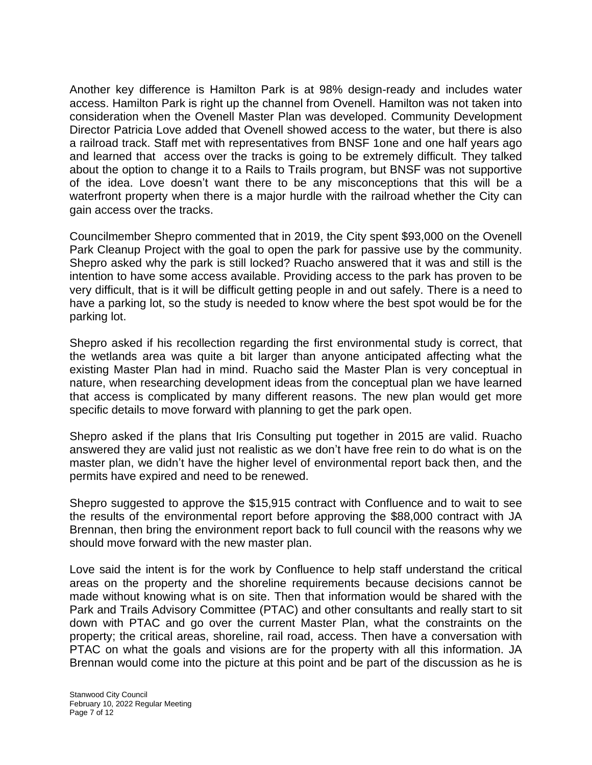Another key difference is Hamilton Park is at 98% design-ready and includes water access. Hamilton Park is right up the channel from Ovenell. Hamilton was not taken into consideration when the Ovenell Master Plan was developed. Community Development Director Patricia Love added that Ovenell showed access to the water, but there is also a railroad track. Staff met with representatives from BNSF 1one and one half years ago and learned that access over the tracks is going to be extremely difficult. They talked about the option to change it to a Rails to Trails program, but BNSF was not supportive of the idea. Love doesn't want there to be any misconceptions that this will be a waterfront property when there is a major hurdle with the railroad whether the City can gain access over the tracks.

Councilmember Shepro commented that in 2019, the City spent \$93,000 on the Ovenell Park Cleanup Project with the goal to open the park for passive use by the community. Shepro asked why the park is still locked? Ruacho answered that it was and still is the intention to have some access available. Providing access to the park has proven to be very difficult, that is it will be difficult getting people in and out safely. There is a need to have a parking lot, so the study is needed to know where the best spot would be for the parking lot.

Shepro asked if his recollection regarding the first environmental study is correct, that the wetlands area was quite a bit larger than anyone anticipated affecting what the existing Master Plan had in mind. Ruacho said the Master Plan is very conceptual in nature, when researching development ideas from the conceptual plan we have learned that access is complicated by many different reasons. The new plan would get more specific details to move forward with planning to get the park open.

Shepro asked if the plans that Iris Consulting put together in 2015 are valid. Ruacho answered they are valid just not realistic as we don't have free rein to do what is on the master plan, we didn't have the higher level of environmental report back then, and the permits have expired and need to be renewed.

Shepro suggested to approve the \$15,915 contract with Confluence and to wait to see the results of the environmental report before approving the \$88,000 contract with JA Brennan, then bring the environment report back to full council with the reasons why we should move forward with the new master plan.

Love said the intent is for the work by Confluence to help staff understand the critical areas on the property and the shoreline requirements because decisions cannot be made without knowing what is on site. Then that information would be shared with the Park and Trails Advisory Committee (PTAC) and other consultants and really start to sit down with PTAC and go over the current Master Plan, what the constraints on the property; the critical areas, shoreline, rail road, access. Then have a conversation with PTAC on what the goals and visions are for the property with all this information. JA Brennan would come into the picture at this point and be part of the discussion as he is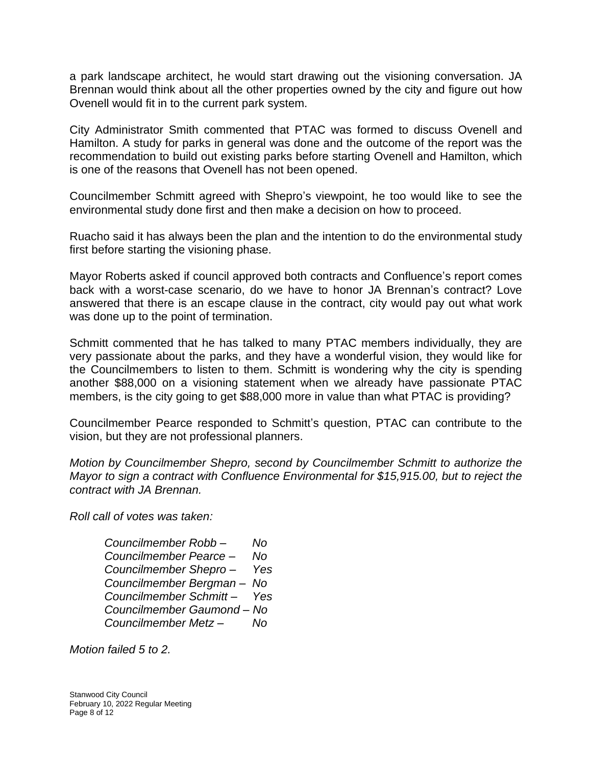a park landscape architect, he would start drawing out the visioning conversation. JA Brennan would think about all the other properties owned by the city and figure out how Ovenell would fit in to the current park system.

City Administrator Smith commented that PTAC was formed to discuss Ovenell and Hamilton. A study for parks in general was done and the outcome of the report was the recommendation to build out existing parks before starting Ovenell and Hamilton, which is one of the reasons that Ovenell has not been opened.

Councilmember Schmitt agreed with Shepro's viewpoint, he too would like to see the environmental study done first and then make a decision on how to proceed.

Ruacho said it has always been the plan and the intention to do the environmental study first before starting the visioning phase.

Mayor Roberts asked if council approved both contracts and Confluence's report comes back with a worst-case scenario, do we have to honor JA Brennan's contract? Love answered that there is an escape clause in the contract, city would pay out what work was done up to the point of termination.

Schmitt commented that he has talked to many PTAC members individually, they are very passionate about the parks, and they have a wonderful vision, they would like for the Councilmembers to listen to them. Schmitt is wondering why the city is spending another \$88,000 on a visioning statement when we already have passionate PTAC members, is the city going to get \$88,000 more in value than what PTAC is providing?

Councilmember Pearce responded to Schmitt's question, PTAC can contribute to the vision, but they are not professional planners.

*Motion by Councilmember Shepro, second by Councilmember Schmitt to authorize the Mayor to sign a contract with Confluence Environmental for \$15,915.00, but to reject the contract with JA Brennan.* 

*Roll call of votes was taken:*

*Councilmember Robb – No Councilmember Pearce – No Councilmember Shepro – Yes Councilmember Bergman – No Councilmember Schmitt – Yes Councilmember Gaumond – No Councilmember Metz – No*

*Motion failed 5 to 2.*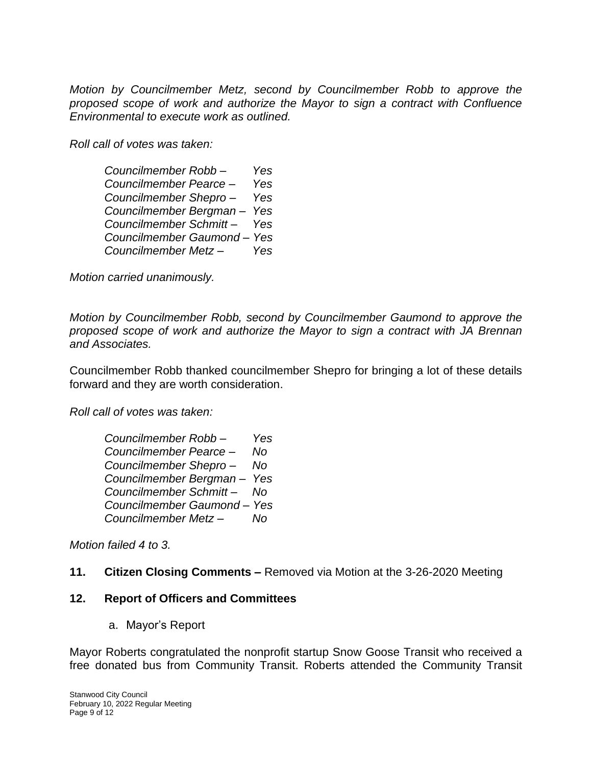*Motion by Councilmember Metz, second by Councilmember Robb to approve the proposed scope of work and authorize the Mayor to sign a contract with Confluence Environmental to execute work as outlined.*

*Roll call of votes was taken:*

| Councilmember Robb-       | Yes |
|---------------------------|-----|
| Councilmember Pearce -    | Yes |
| Councilmember Shepro-     | Yes |
| Councilmember Bergman-    | Yes |
| Councilmember Schmitt-    | Yes |
| Councilmember Gaumond-Yes |     |
| Councilmember Metz-       | Yes |

*Motion carried unanimously.*

*Motion by Councilmember Robb, second by Councilmember Gaumond to approve the proposed scope of work and authorize the Mayor to sign a contract with JA Brennan and Associates.* 

Councilmember Robb thanked councilmember Shepro for bringing a lot of these details forward and they are worth consideration.

*Roll call of votes was taken:*

| Councilmember Robb-         | Yes |
|-----------------------------|-----|
| Councilmember Pearce -      | No  |
| Councilmember Shepro-       | No  |
| Councilmember Bergman-      | Yes |
| Councilmember Schmitt-      | Nο  |
| Councilmember Gaumond - Yes |     |
| Councilmember Metz-         | No  |

*Motion failed 4 to 3.*

#### **11. Citizen Closing Comments –** Removed via Motion at the 3-26-2020 Meeting

#### **12. Report of Officers and Committees**

a. Mayor's Report

Mayor Roberts congratulated the nonprofit startup Snow Goose Transit who received a free donated bus from Community Transit. Roberts attended the Community Transit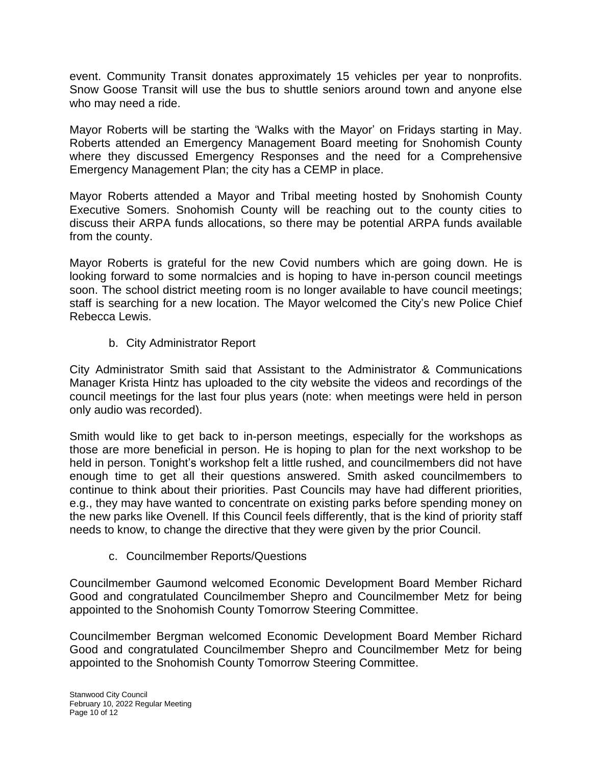event. Community Transit donates approximately 15 vehicles per year to nonprofits. Snow Goose Transit will use the bus to shuttle seniors around town and anyone else who may need a ride.

Mayor Roberts will be starting the 'Walks with the Mayor' on Fridays starting in May. Roberts attended an Emergency Management Board meeting for Snohomish County where they discussed Emergency Responses and the need for a Comprehensive Emergency Management Plan; the city has a CEMP in place.

Mayor Roberts attended a Mayor and Tribal meeting hosted by Snohomish County Executive Somers. Snohomish County will be reaching out to the county cities to discuss their ARPA funds allocations, so there may be potential ARPA funds available from the county.

Mayor Roberts is grateful for the new Covid numbers which are going down. He is looking forward to some normalcies and is hoping to have in-person council meetings soon. The school district meeting room is no longer available to have council meetings; staff is searching for a new location. The Mayor welcomed the City's new Police Chief Rebecca Lewis.

b. City Administrator Report

City Administrator Smith said that Assistant to the Administrator & Communications Manager Krista Hintz has uploaded to the city website the videos and recordings of the council meetings for the last four plus years (note: when meetings were held in person only audio was recorded).

Smith would like to get back to in-person meetings, especially for the workshops as those are more beneficial in person. He is hoping to plan for the next workshop to be held in person. Tonight's workshop felt a little rushed, and councilmembers did not have enough time to get all their questions answered. Smith asked councilmembers to continue to think about their priorities. Past Councils may have had different priorities, e.g., they may have wanted to concentrate on existing parks before spending money on the new parks like Ovenell. If this Council feels differently, that is the kind of priority staff needs to know, to change the directive that they were given by the prior Council.

c. Councilmember Reports/Questions

Councilmember Gaumond welcomed Economic Development Board Member Richard Good and congratulated Councilmember Shepro and Councilmember Metz for being appointed to the Snohomish County Tomorrow Steering Committee.

Councilmember Bergman welcomed Economic Development Board Member Richard Good and congratulated Councilmember Shepro and Councilmember Metz for being appointed to the Snohomish County Tomorrow Steering Committee.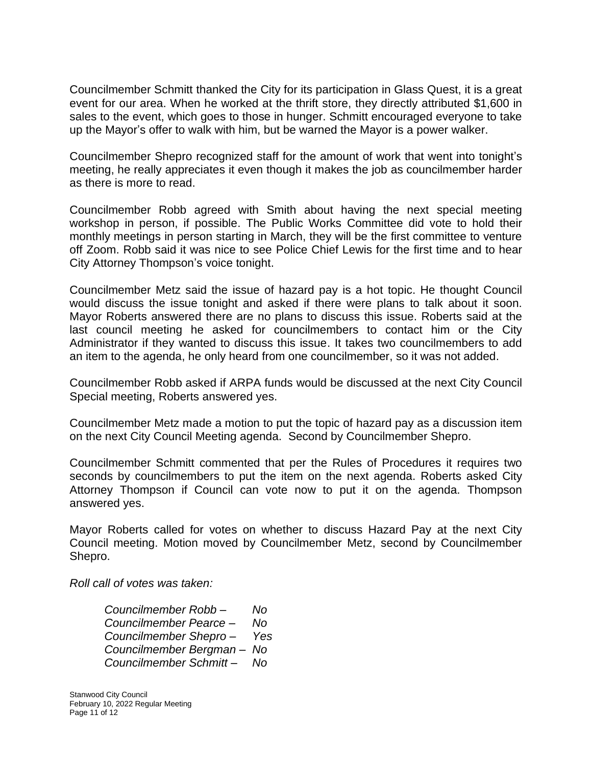Councilmember Schmitt thanked the City for its participation in Glass Quest, it is a great event for our area. When he worked at the thrift store, they directly attributed \$1,600 in sales to the event, which goes to those in hunger. Schmitt encouraged everyone to take up the Mayor's offer to walk with him, but be warned the Mayor is a power walker.

Councilmember Shepro recognized staff for the amount of work that went into tonight's meeting, he really appreciates it even though it makes the job as councilmember harder as there is more to read.

Councilmember Robb agreed with Smith about having the next special meeting workshop in person, if possible. The Public Works Committee did vote to hold their monthly meetings in person starting in March, they will be the first committee to venture off Zoom. Robb said it was nice to see Police Chief Lewis for the first time and to hear City Attorney Thompson's voice tonight.

Councilmember Metz said the issue of hazard pay is a hot topic. He thought Council would discuss the issue tonight and asked if there were plans to talk about it soon. Mayor Roberts answered there are no plans to discuss this issue. Roberts said at the last council meeting he asked for councilmembers to contact him or the City Administrator if they wanted to discuss this issue. It takes two councilmembers to add an item to the agenda, he only heard from one councilmember, so it was not added.

Councilmember Robb asked if ARPA funds would be discussed at the next City Council Special meeting, Roberts answered yes.

Councilmember Metz made a motion to put the topic of hazard pay as a discussion item on the next City Council Meeting agenda. Second by Councilmember Shepro.

Councilmember Schmitt commented that per the Rules of Procedures it requires two seconds by councilmembers to put the item on the next agenda. Roberts asked City Attorney Thompson if Council can vote now to put it on the agenda. Thompson answered yes.

Mayor Roberts called for votes on whether to discuss Hazard Pay at the next City Council meeting. Motion moved by Councilmember Metz, second by Councilmember Shepro.

*Roll call of votes was taken:*

*Councilmember Robb – No Councilmember Pearce – No Councilmember Shepro – Yes Councilmember Bergman – No Councilmember Schmitt – No*